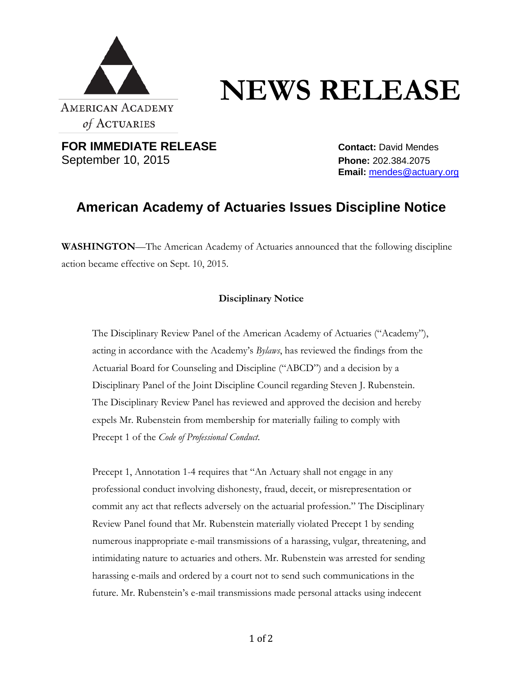

## **NEWS RELEASE**

**FOR IMMEDIATE RELEASE Contact:** David Mendes September 10, 2015 **Phone:** 202.384.2075

**Email:** [mendes@actuary.org](mailto:mendes@actuary.org)

## **American Academy of Actuaries Issues Discipline Notice**

**WASHINGTON**—The American Academy of Actuaries announced that the following discipline action became effective on Sept. 10, 2015.

## **Disciplinary Notice**

The Disciplinary Review Panel of the American Academy of Actuaries ("Academy"), acting in accordance with the Academy's *Bylaws*, has reviewed the findings from the Actuarial Board for Counseling and Discipline ("ABCD") and a decision by a Disciplinary Panel of the Joint Discipline Council regarding Steven J. Rubenstein. The Disciplinary Review Panel has reviewed and approved the decision and hereby expels Mr. Rubenstein from membership for materially failing to comply with Precept 1 of the *Code of Professional Conduct*.

Precept 1, Annotation 1-4 requires that "An Actuary shall not engage in any professional conduct involving dishonesty, fraud, deceit, or misrepresentation or commit any act that reflects adversely on the actuarial profession." The Disciplinary Review Panel found that Mr. Rubenstein materially violated Precept 1 by sending numerous inappropriate e-mail transmissions of a harassing, vulgar, threatening, and intimidating nature to actuaries and others. Mr. Rubenstein was arrested for sending harassing e-mails and ordered by a court not to send such communications in the future. Mr. Rubenstein's e-mail transmissions made personal attacks using indecent